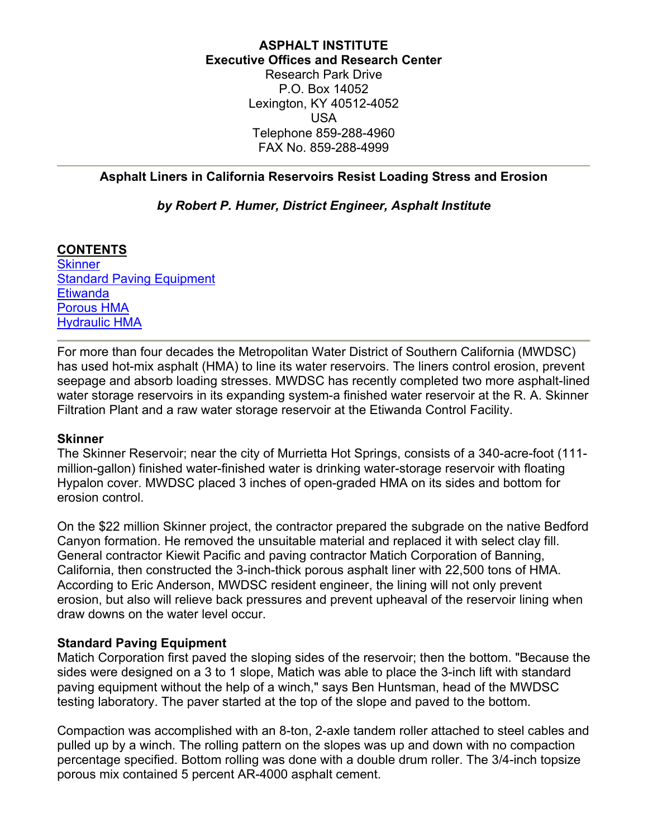### **ASPHALT INSTITUTE Executive Offices and Research Center** Research Park Drive P.O. Box 14052 Lexington, KY 40512-4052 USA Telephone 859-288-4960 FAX No. 859-288-4999

# <span id="page-0-0"></span>**Asphalt Liners in California Reservoirs Resist Loading Stress and Erosion**

# *by Robert P. Humer, District Engineer, Asphalt Institute*

# **CONTENTS**

**[Skinner](#page-0-0)** [Standard Paving Equipment](#page-0-0) **[Etiwanda](#page-1-0)** [Porous HMA](#page-1-0) [Hydraulic HMA](#page-2-0)

For more than four decades the Metropolitan Water District of Southern California (MWDSC) has used hot-mix asphalt (HMA) to line its water reservoirs. The liners control erosion, prevent seepage and absorb loading stresses. MWDSC has recently completed two more asphalt-lined water storage reservoirs in its expanding system-a finished water reservoir at the R. A. Skinner Filtration Plant and a raw water storage reservoir at the Etiwanda Control Facility.

#### **Skinner**

The Skinner Reservoir; near the city of Murrietta Hot Springs, consists of a 340-acre-foot (111 million-gallon) finished water-finished water is drinking water-storage reservoir with floating Hypalon cover. MWDSC placed 3 inches of open-graded HMA on its sides and bottom for erosion control.

On the \$22 million Skinner project, the contractor prepared the subgrade on the native Bedford Canyon formation. He removed the unsuitable material and replaced it with select clay fill. General contractor Kiewit Pacific and paving contractor Matich Corporation of Banning, California, then constructed the 3-inch-thick porous asphalt liner with 22,500 tons of HMA. According to Eric Anderson, MWDSC resident engineer, the lining will not only prevent erosion, but also will relieve back pressures and prevent upheaval of the reservoir lining when draw downs on the water level occur.

# **Standard Paving Equipment**

Matich Corporation first paved the sloping sides of the reservoir; then the bottom. "Because the sides were designed on a 3 to 1 slope, Matich was able to place the 3-inch lift with standard paving equipment without the help of a winch," says Ben Huntsman, head of the MWDSC testing laboratory. The paver started at the top of the slope and paved to the bottom.

Compaction was accomplished with an 8-ton, 2-axle tandem roller attached to steel cables and pulled up by a winch. The rolling pattern on the slopes was up and down with no compaction percentage specified. Bottom rolling was done with a double drum roller. The 3/4-inch topsize porous mix contained 5 percent AR-4000 asphalt cement.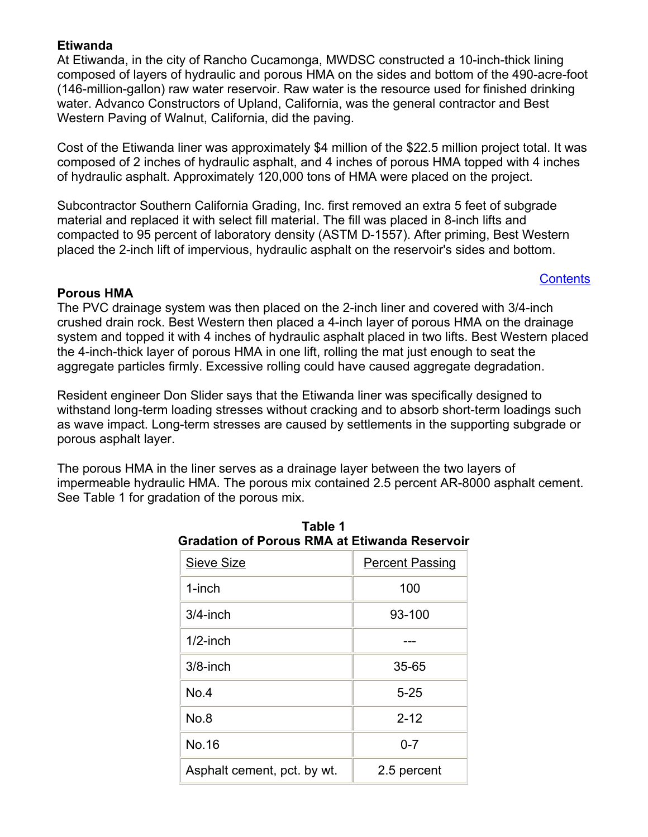# <span id="page-1-0"></span>**Etiwanda**

At Etiwanda, in the city of Rancho Cucamonga, MWDSC constructed a 10-inch-thick lining composed of layers of hydraulic and porous HMA on the sides and bottom of the 490-acre-foot (146-million-gallon) raw water reservoir. Raw water is the resource used for finished drinking water. Advanco Constructors of Upland, California, was the general contractor and Best Western Paving of Walnut, California, did the paving.

Cost of the Etiwanda liner was approximately \$4 million of the \$22.5 million project total. It was composed of 2 inches of hydraulic asphalt, and 4 inches of porous HMA topped with 4 inches of hydraulic asphalt. Approximately 120,000 tons of HMA were placed on the project.

Subcontractor Southern California Grading, Inc. first removed an extra 5 feet of subgrade material and replaced it with select fill material. The fill was placed in 8-inch lifts and compacted to 95 percent of laboratory density (ASTM D-1557). After priming, Best Western placed the 2-inch lift of impervious, hydraulic asphalt on the reservoir's sides and bottom.

### **[Contents](#page-0-0)**

### **Porous HMA**

The PVC drainage system was then placed on the 2-inch liner and covered with 3/4-inch crushed drain rock. Best Western then placed a 4-inch layer of porous HMA on the drainage system and topped it with 4 inches of hydraulic asphalt placed in two lifts. Best Western placed the 4-inch-thick layer of porous HMA in one lift, rolling the mat just enough to seat the aggregate particles firmly. Excessive rolling could have caused aggregate degradation.

Resident engineer Don Slider says that the Etiwanda liner was specifically designed to withstand long-term loading stresses without cracking and to absorb short-term loadings such as wave impact. Long-term stresses are caused by settlements in the supporting subgrade or porous asphalt layer.

The porous HMA in the liner serves as a drainage layer between the two layers of impermeable hydraulic HMA. The porous mix contained 2.5 percent AR-8000 asphalt cement. See Table 1 for gradation of the porous mix.

**Table 1**

| <b>Gradation of Porous RMA at Etiwanda Reservoir</b> |                        |
|------------------------------------------------------|------------------------|
| <b>Sieve Size</b>                                    | <b>Percent Passing</b> |
| 1-inch                                               | 100                    |
| $3/4$ -inch                                          | 93-100                 |
| $1/2$ -inch                                          |                        |
| $3/8$ -inch                                          | 35-65                  |
| No.4                                                 | $5 - 25$               |
| No.8                                                 | $2 - 12$               |
| No.16                                                | $0 - 7$                |
| Asphalt cement, pct. by wt.                          | 2.5 percent            |